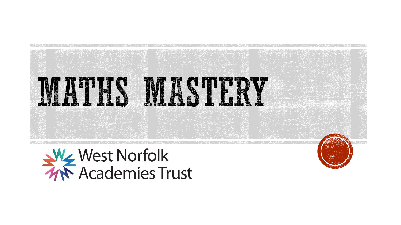



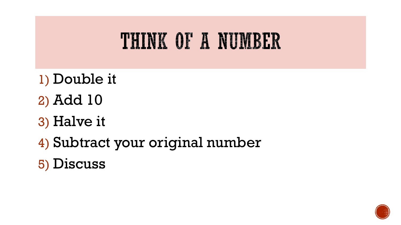#### THINK OF A NUMBER

- 1) Double it
- 2) Add 10
- 3) Halve it
- 4) Subtract your original number
- 5) Discuss

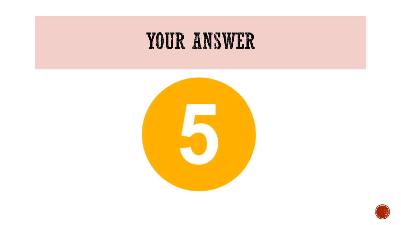#### YOUR ANSWER



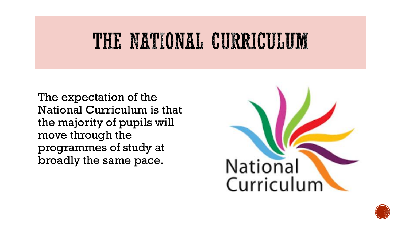### THE NATIONAL CURRICULUM

The expectation of the National Curriculum is that the majority of pupils will move through the programmes of study at broadly the same pace.



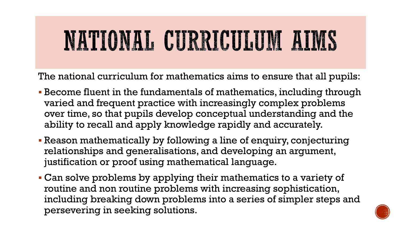# NATIONAL CURRICULUM AIMS

The national curriculum for mathematics aims to ensure that all pupils:

- Become fluent in the fundamentals of mathematics, including through varied and frequent practice with increasingly complex problems over time, so that pupils develop conceptual understanding and the ability to recall and apply knowledge rapidly and accurately.
- Reason mathematically by following a line of enquiry, conjecturing relationships and generalisations, and developing an argument, justification or proof using mathematical language.
- Can solve problems by applying their mathematics to a variety of routine and non routine problems with increasing sophistication, including breaking down problems into a series of simpler steps and persevering in seeking solutions.

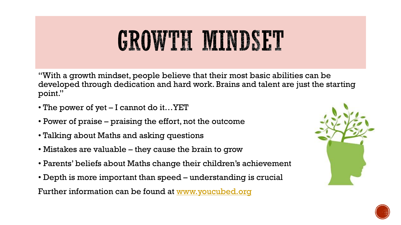# GROWTH MINDSET

"With a growth mindset, people believe that their most basic abilities can be developed through dedication and hard work. Brains and talent are just the starting point."

- The power of yet I cannot do it...YET
- Power of praise praising the effort, not the outcome
- Talking about Maths and asking questions
- Mistakes are valuable they cause the brain to grow
- Parents' beliefs about Maths change their children's achievement
- Depth is more important than speed understanding is crucial

Further information can be found at [www.youcubed.org](http://www.youcubed.org/)



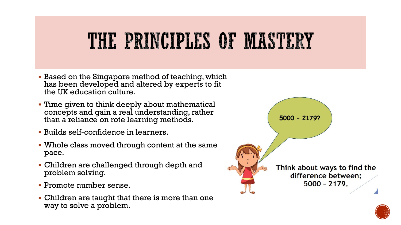### THE PRINCIPLES OF MASTERY

- **Based on the Singapore method of teaching, which** has been developed and altered by experts to fit the UK education culture.
- Time given to think deeply about mathematical concepts and gain a real understanding, rather than a reliance on rote learning methods.
- Builds self-confidence in learners.
- Whole class moved through content at the same pace.
- Children are challenged through depth and problem solving.
- Promote number sense.
- Children are taught that there is more than one way to solve a problem.



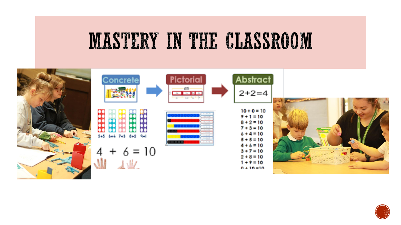### MASTERY IN THE CLASSROOM



| oncrete                    | <b>Pictorial</b><br>-95<br><b>No. 1999</b><br><b>Sec. 1</b><br>كان النوق                                                   | <b>Abstract</b><br>$2+2=4$                                                                    |                  |
|----------------------------|----------------------------------------------------------------------------------------------------------------------------|-----------------------------------------------------------------------------------------------|------------------|
| 6+4 7+3 8+2<br>9+1<br>545. | <b>Horace Research</b><br><b>Contractor</b><br><b>Reading Adv</b><br><b>Contract Contract Contract</b><br>All the All Card | $10 + 0 = 10$<br>$9 + 1 = 10$<br>$8 + 2 = 10$<br>$7 + 3 = 10$<br>$6 + 4 = 10$<br>$5 + 5 = 10$ |                  |
| $+ 6 = 10$                 |                                                                                                                            | $4 + 6 = 10$<br>$3 + 7 = 10$<br>$2 + 8 = 10$<br>$1 + 9 = 10$<br>$0 + 10 = 10$                 | $1.1100$ $1.770$ |

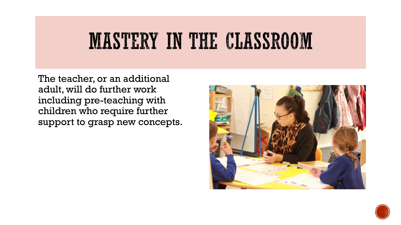### MASTERY IN THE CLASSROOM

The teacher, or an additional adult, will do further work including pre-teaching with children who require further support to grasp new concepts.



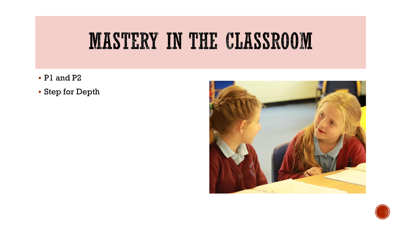

- P1 and P2
- Step for Depth



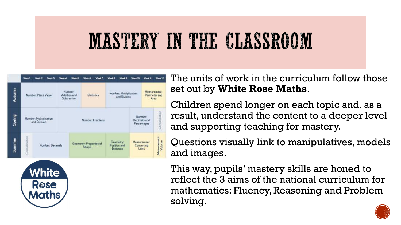## MASTERY IN THE CLASSROOM

|        | Week <sub>1</sub>                 | Week 2                                 | Week 3 | Week 4                                        | Wook 5                           | Week 6            | Week 7 | Week 8                                                    | Week 9                                        | Week 10                               | Week 11                                    | Wieek 12               |
|--------|-----------------------------------|----------------------------------------|--------|-----------------------------------------------|----------------------------------|-------------------|--------|-----------------------------------------------------------|-----------------------------------------------|---------------------------------------|--------------------------------------------|------------------------|
| Autumn | Number: Place Value               |                                        |        | Number:<br>Addition and<br><b>Subtraction</b> |                                  | <b>Statistics</b> |        | <b>MARINARD</b><br>Number: Multiplication<br>and Division |                                               | Measurement:<br>Perimeter and<br>Area |                                            |                        |
| Spring |                                   | Number: Multiplication<br>and Division |        | Number: Fractions                             |                                  |                   |        |                                                           | Number:<br>Decimals and<br>Percentages        |                                       | Consolidation                              |                        |
| Summer | Consolidation<br>Number: Decimals |                                        |        |                                               | Geometry: Properties of<br>Shape |                   |        |                                                           | Geometry:<br>Position and<br><b>Direction</b> |                                       | Measurement:<br>Converting<br><b>Units</b> | Measurement:<br>Volume |



The units of work in the curriculum follow those set out by **White Rose Maths**.

Children spend longer on each topic and, as a result, understand the content to a deeper level and supporting teaching for mastery.

Questions visually link to manipulatives, models and images.

This way, pupils' mastery skills are honed to reflect the 3 aims of the national curriculum for mathematics: Fluency, Reasoning and Problem solving.